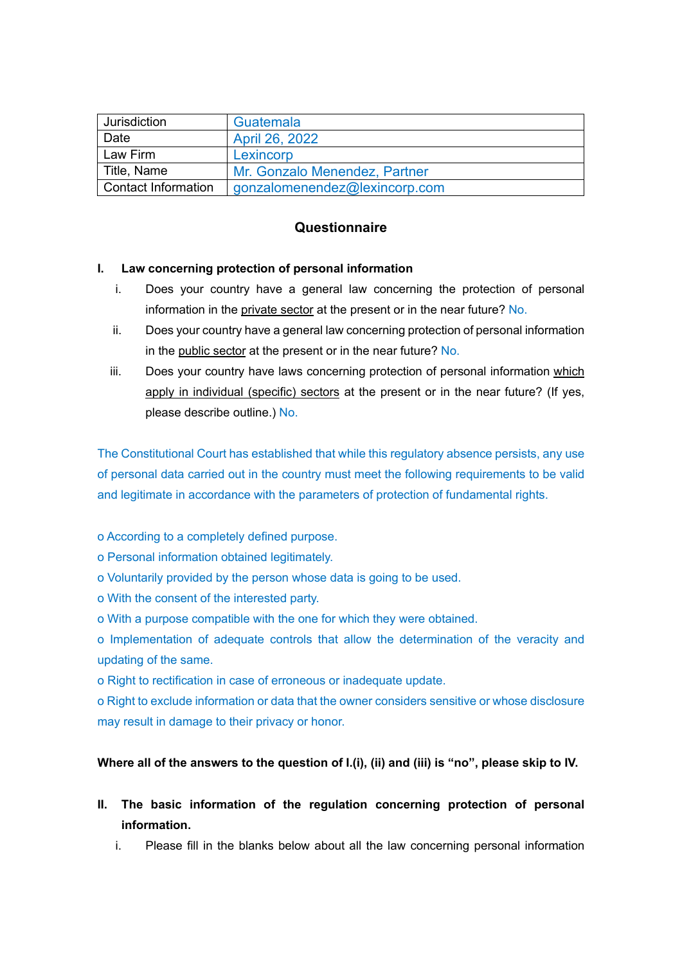| Jurisdiction               | Guatemala                     |  |
|----------------------------|-------------------------------|--|
| Date                       | April 26, 2022                |  |
| Law Firm                   | Lexincorp                     |  |
| Title, Name                | Mr. Gonzalo Menendez, Partner |  |
| <b>Contact Information</b> | gonzalomenendez@lexincorp.com |  |

# **Questionnaire**

## **I. Law concerning protection of personal information**

- i. Does your country have a general law concerning the protection of personal information in the private sector at the present or in the near future? No.
- ii. Does your country have a general law concerning protection of personal information in the public sector at the present or in the near future? No.
- iii. Does your country have laws concerning protection of personal information which apply in individual (specific) sectors at the present or in the near future? (If yes, please describe outline.) No.

The Constitutional Court has established that while this regulatory absence persists, any use of personal data carried out in the country must meet the following requirements to be valid and legitimate in accordance with the parameters of protection of fundamental rights.

- o According to a completely defined purpose.
- o Personal information obtained legitimately.
- o Voluntarily provided by the person whose data is going to be used.
- o With the consent of the interested party.
- o With a purpose compatible with the one for which they were obtained.

o Implementation of adequate controls that allow the determination of the veracity and updating of the same.

o Right to rectification in case of erroneous or inadequate update.

o Right to exclude information or data that the owner considers sensitive or whose disclosure may result in damage to their privacy or honor.

## **Where all of the answers to the question of I.(i), (ii) and (iii) is "no", please skip to IV.**

- **II. The basic information of the regulation concerning protection of personal information.**
	- i. Please fill in the blanks below about all the law concerning personal information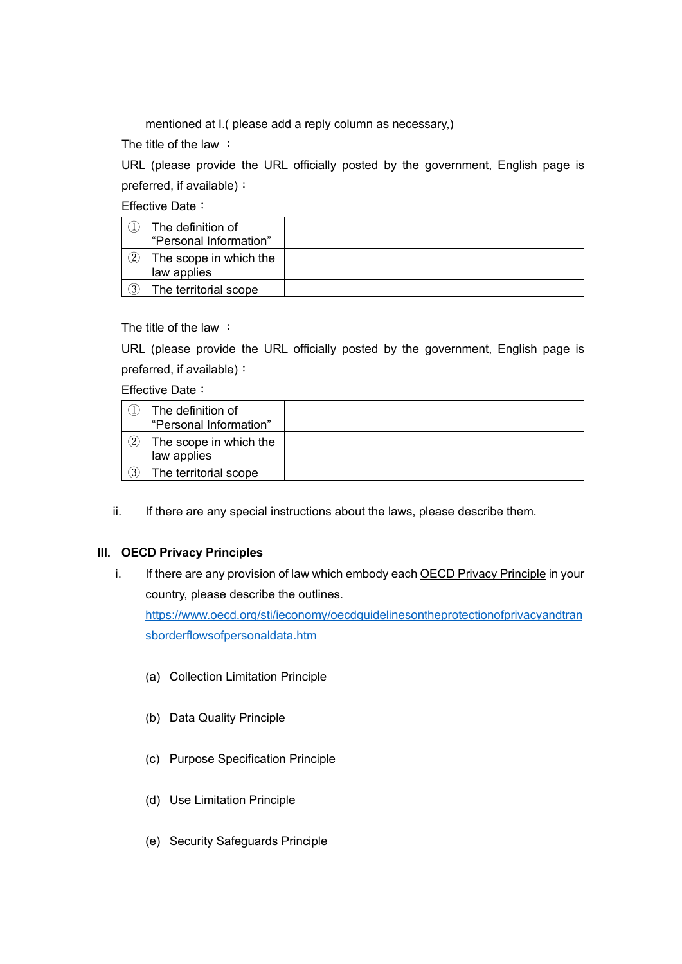mentioned at I.( please add a reply column as necessary,)

The title of the law:

URL (please provide the URL officially posted by the government, English page is preferred, if available):

Effective Date:

|                   | The definition of<br>"Personal Information" |  |
|-------------------|---------------------------------------------|--|
| $\left( 2\right)$ | The scope in which the<br>law applies       |  |
| 3                 | The territorial scope                       |  |

The title of the law :

URL (please provide the URL officially posted by the government, English page is preferred, if available):

Effective Date:

|                   | The definition of<br>"Personal Information" |  |
|-------------------|---------------------------------------------|--|
| $\left( 2\right)$ | The scope in which the<br>law applies       |  |
| વ                 | The territorial scope                       |  |

ii. If there are any special instructions about the laws, please describe them.

### **III. OECD Privacy Principles**

i. If there are any provision of law which embody each OECD Privacy Principle in your country, please describe the outlines.

[https://www.oecd.org/sti/ieconomy/oecdguidelinesontheprotectionofprivacyandtran](https://www.oecd.org/sti/ieconomy/oecdguidelinesontheprotectionofprivacyandtransborderflowsofpersonaldata.htm) [sborderflowsofpersonaldata.htm](https://www.oecd.org/sti/ieconomy/oecdguidelinesontheprotectionofprivacyandtransborderflowsofpersonaldata.htm)

- (a) Collection Limitation Principle
- (b) Data Quality Principle
- (c) Purpose Specification Principle
- (d) Use Limitation Principle
- (e) Security Safeguards Principle